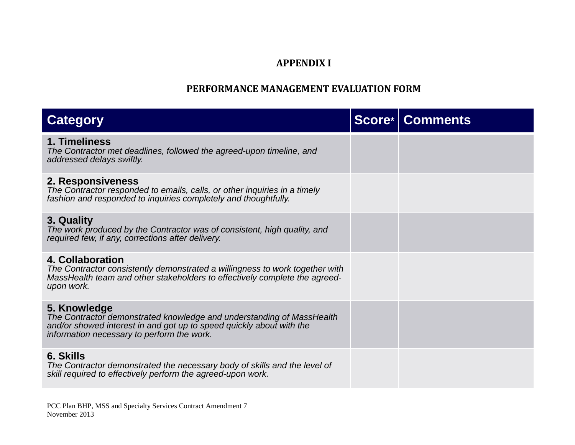## **APPENDIX I**

## **PERFORMANCE MANAGEMENT EVALUATION FORM**

| <b>Category</b>                                                                                                                                                                                             | <b>Score*   Comments</b> |
|-------------------------------------------------------------------------------------------------------------------------------------------------------------------------------------------------------------|--------------------------|
| 1. Timeliness<br>The Contractor met deadlines, followed the agreed-upon timeline, and<br>addressed delays swiftly.                                                                                          |                          |
| 2. Responsiveness<br>The Contractor responded to emails, calls, or other inquiries in a timely<br>fashion and responded to inquiries completely and thoughtfully.                                           |                          |
| 3. Quality<br>The work produced by the Contractor was of consistent, high quality, and<br>required few, if any, corrections after delivery.                                                                 |                          |
| <b>4. Collaboration</b><br>The Contractor consistently demonstrated a willingness to work together with<br>MassHealth team and other stakeholders to effectively complete the agreed-<br>upon work.         |                          |
| 5. Knowledge<br>The Contractor demonstrated knowledge and understanding of MassHealth<br>and/or showed interest in and got up to speed quickly about with the<br>information necessary to perform the work. |                          |
| 6. Skills<br>The Contractor demonstrated the necessary body of skills and the level of<br>skill required to effectively perform the agreed-upon work.                                                       |                          |